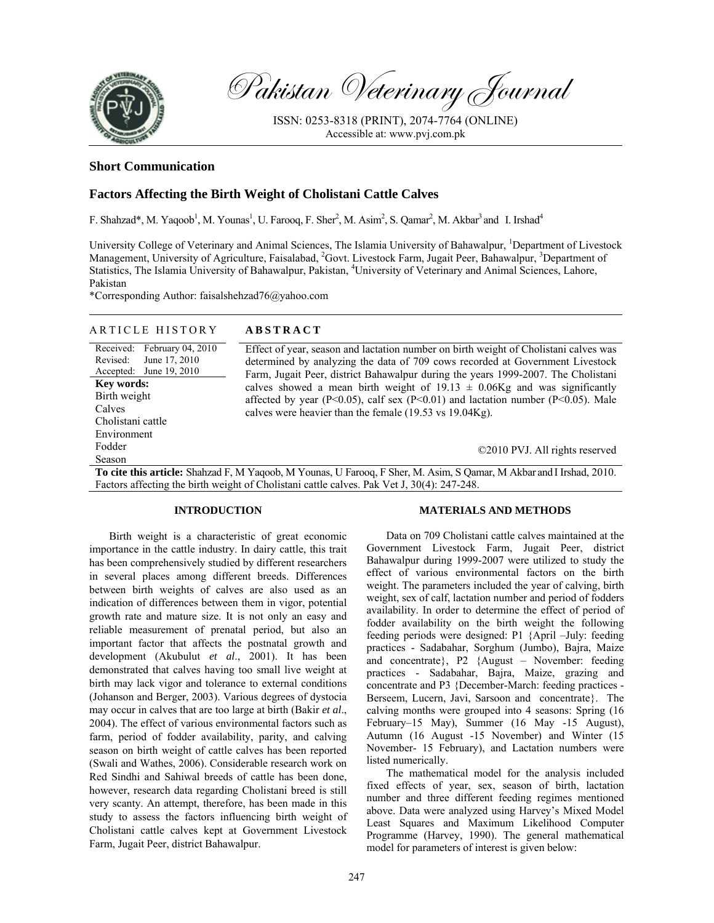

Pakistan Veterinary Journal

ISSN: 0253-8318 (PRINT), 2074-7764 (ONLINE) Accessible at: www.pvj.com.pk

### **Short Communication**

# **Factors Affecting the Birth Weight of Cholistani Cattle Calves**

F. Shahzad\*, M. Yaqoob<sup>1</sup>, M. Younas<sup>1</sup>, U. Farooq, F. Sher<sup>2</sup>, M. Asim<sup>2</sup>, S. Qamar<sup>2</sup>, M. Akbar<sup>3</sup> and I. Irshad<sup>4</sup>

University College of Veterinary and Animal Sciences, The Islamia University of Bahawalpur, <sup>1</sup>Department of Livestock Management, University of Agriculture, Faisalabad, <sup>2</sup>Govt. Livestock Farm, Jugait Peer, Bahawalpur, <sup>3</sup>Department of Statistics, The Islamia University of Bahawalpur, Pakistan, <sup>4</sup>University of Veterinary and Animal Sciences, Lahore, Pakistan

\*Corresponding Author: faisalshehzad76@yahoo.com

| ARTICLE HISTORY                                                                       | <b>ABSTRACT</b>                                                                                                                                                                                                                                            |
|---------------------------------------------------------------------------------------|------------------------------------------------------------------------------------------------------------------------------------------------------------------------------------------------------------------------------------------------------------|
| Received: February 04, 2010<br>June 17, 2010<br>Revised:<br>Accepted: June $19, 2010$ | Effect of year, season and lactation number on birth weight of Cholistani calves was<br>determined by analyzing the data of 709 cows recorded at Government Livestock<br>Farm, Jugait Peer, district Bahawalpur during the years 1999-2007. The Cholistani |
| <b>Key words:</b><br>Birth weight<br>Calves<br>Cholistani cattle                      | calves showed a mean birth weight of 19.13 $\pm$ 0.06Kg and was significantly<br>affected by year (P<0.05), calf sex (P<0.01) and lactation number (P<0.05). Male<br>calves were heavier than the female (19.53 vs 19.04Kg).                               |
| Environment                                                                           |                                                                                                                                                                                                                                                            |
| Fodder                                                                                | ©2010 PVJ. All rights reserved                                                                                                                                                                                                                             |
| Season                                                                                |                                                                                                                                                                                                                                                            |
| .<br>$\alpha$ 1<br>$\cdots$                                                           | 11111110010<br>$1 \nightharpoonup 1$<br>1.111<br><b>TT</b><br>$T \cap \Omega$<br>$\mathbf{v}$ $\mathbf{v}$<br>$\sim$ $\sim$                                                                                                                                |

**To cite this article:** Shahzad F, M Yaqoob, M Younas, U Farooq, F Sher, M. Asim, S Qamar, M Akbar and I Irshad, 2010. Factors affecting the birth weight of Cholistani cattle calves. Pak Vet J, 30(4): 247-248.

### **INTRODUCTION**

Birth weight is a characteristic of great economic importance in the cattle industry. In dairy cattle, this trait has been comprehensively studied by different researchers in several places among different breeds. Differences between birth weights of calves are also used as an indication of differences between them in vigor, potential growth rate and mature size. It is not only an easy and reliable measurement of prenatal period, but also an important factor that affects the postnatal growth and development (Akubulut *et al*., 2001). It has been demonstrated that calves having too small live weight at birth may lack vigor and tolerance to external conditions (Johanson and Berger, 2003). Various degrees of dystocia may occur in calves that are too large at birth (Bakir *et al*., 2004). The effect of various environmental factors such as farm, period of fodder availability, parity, and calving season on birth weight of cattle calves has been reported (Swali and Wathes, 2006). Considerable research work on Red Sindhi and Sahiwal breeds of cattle has been done, however, research data regarding Cholistani breed is still very scanty. An attempt, therefore, has been made in this study to assess the factors influencing birth weight of Cholistani cattle calves kept at Government Livestock Farm, Jugait Peer, district Bahawalpur.

#### **MATERIALS AND METHODS**

Data on 709 Cholistani cattle calves maintained at the Government Livestock Farm, Jugait Peer, district Bahawalpur during 1999-2007 were utilized to study the effect of various environmental factors on the birth weight. The parameters included the year of calving, birth weight, sex of calf, lactation number and period of fodders availability. In order to determine the effect of period of fodder availability on the birth weight the following feeding periods were designed: P1 {April –July: feeding practices - Sadabahar, Sorghum (Jumbo), Bajra, Maize and concentrate}, P2 {August – November: feeding practices - Sadabahar, Bajra, Maize, grazing and concentrate and P3 {December-March: feeding practices - Berseem, Lucern, Javi, Sarsoon and concentrate}. The calving months were grouped into 4 seasons: Spring (16 February–15 May), Summer (16 May -15 August), Autumn (16 August -15 November) and Winter (15 November- 15 February), and Lactation numbers were listed numerically.

The mathematical model for the analysis included fixed effects of year, sex, season of birth, lactation number and three different feeding regimes mentioned above. Data were analyzed using Harvey's Mixed Model Least Squares and Maximum Likelihood Computer Programme (Harvey, 1990). The general mathematical model for parameters of interest is given below: